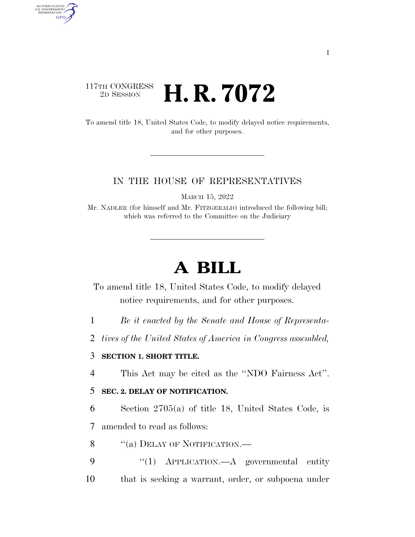## $\begin{array}{c} \text{117TH CONGRESS} \\ \text{2D SESION} \end{array}$ 2D SESSION **H. R. 7072**

AUTHENTICATED<br>U.S. GOVERNMENT<br>INFORMATION **GPO** 

> To amend title 18, United States Code, to modify delayed notice requirements, and for other purposes.

#### IN THE HOUSE OF REPRESENTATIVES

MARCH 15, 2022

Mr. NADLER (for himself and Mr. FITZGERALD) introduced the following bill; which was referred to the Committee on the Judiciary

# **A BILL**

To amend title 18, United States Code, to modify delayed notice requirements, and for other purposes.

1 *Be it enacted by the Senate and House of Representa-*

2 *tives of the United States of America in Congress assembled,* 

### 3 **SECTION 1. SHORT TITLE.**

4 This Act may be cited as the ''NDO Fairness Act''.

### 5 **SEC. 2. DELAY OF NOTIFICATION.**

6 Section 2705(a) of title 18, United States Code, is 7 amended to read as follows:

8 "(a) DELAY OF NOTIFICATION.—

9 "(1) APPLICATION.—A governmental entity 10 that is seeking a warrant, order, or subpoena under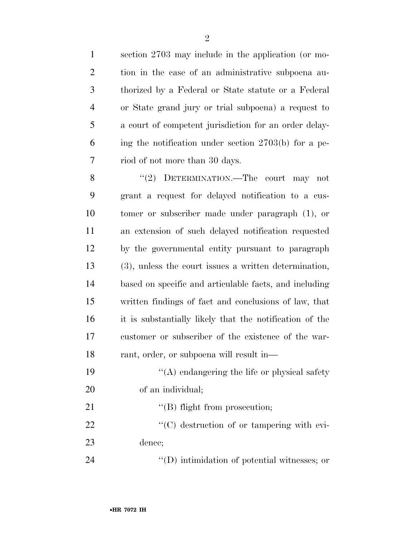| $\mathbf{1}$   | section 2703 may include in the application (or mo-   |
|----------------|-------------------------------------------------------|
| $\overline{2}$ | tion in the case of an administrative subpoena au-    |
| 3              | thorized by a Federal or State statute or a Federal   |
| 4              | or State grand jury or trial subpoena) a request to   |
| 5              | a court of competent jurisdiction for an order delay- |
| 6              | ing the notification under section 2703(b) for a pe-  |
| 7              | riod of not more than 30 days.                        |
| 8              | "(2) DETERMINATION.—The court may not                 |
| 9              | grant a request for delayed notification to a cus-    |
| $\overline{0}$ | tomer or subscriber made under paragraph (1), or      |
| $\mathbf{1}$   | an extension of such delayed notification requested   |
|                |                                                       |

 tomer or subscriber made under paragraph (1), or an extension of such delayed notification requested by the governmental entity pursuant to paragraph (3), unless the court issues a written determination, based on specific and articulable facts, and including written findings of fact and conclusions of law, that it is substantially likely that the notification of the customer or subscriber of the existence of the war-rant, order, or subpoena will result in—

19 ''(A) endangering the life or physical safety of an individual;

| 21 | $\lq\lq$ (B) flight from prosecution;                |
|----|------------------------------------------------------|
| 22 | $\lq\lq$ destruction of or tampering with evi-       |
| 23 | dence;                                               |
| 24 | $\lq\lq$ (D) intimidation of potential witnesses; or |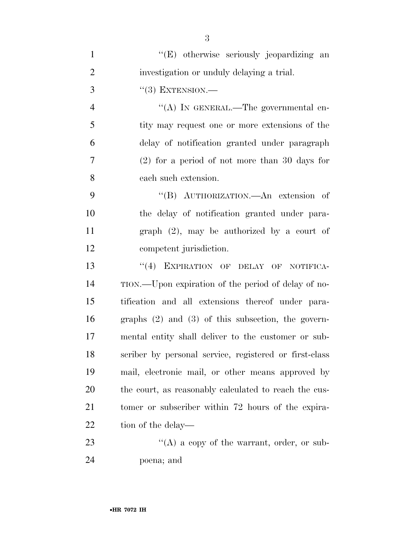| $\mathbf{1}$   | "(E) otherwise seriously jeopardizing an               |
|----------------|--------------------------------------------------------|
| $\overline{2}$ | investigation or unduly delaying a trial.              |
| 3              | $``(3)$ EXTENSION.—                                    |
| $\overline{4}$ | "(A) IN GENERAL.—The governmental en-                  |
| 5              | tity may request one or more extensions of the         |
| 6              | delay of notification granted under paragraph          |
| $\overline{7}$ | $(2)$ for a period of not more than 30 days for        |
| 8              | each such extension.                                   |
| 9              | "(B) AUTHORIZATION.—An extension of                    |
| 10             | the delay of notification granted under para-          |
| 11             | graph $(2)$ , may be authorized by a court of          |
| 12             | competent jurisdiction.                                |
| 13             | "(4) EXPIRATION OF DELAY OF NOTIFICA-                  |
| 14             | TION.—Upon expiration of the period of delay of no-    |
| 15             | tification and all extensions thereof under para-      |
| 16             | graphs $(2)$ and $(3)$ of this subsection, the govern- |
| 17             | mental entity shall deliver to the customer or sub-    |
| 18             | scriber by personal service, registered or first-class |
| 19             | mail, electronic mail, or other means approved by      |
| 20             | the court, as reasonably calculated to reach the cus-  |
| 21             | tomer or subscriber within 72 hours of the expira-     |
| 22             | tion of the delay—                                     |
| 23             | "(A) a copy of the warrant, order, or sub-             |
| 24             | poena; and                                             |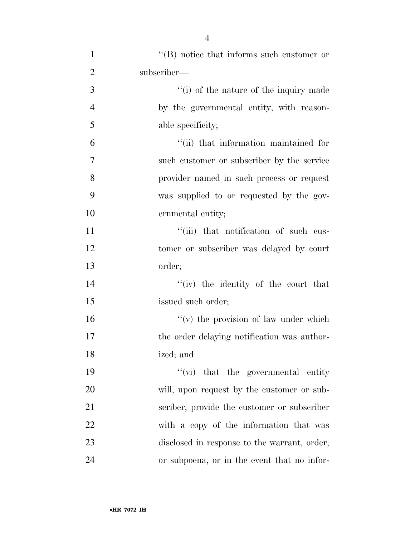| $\mathbf{1}$   | $\cdot$ (B) notice that informs such customer or |
|----------------|--------------------------------------------------|
| $\overline{2}$ | subscriber—                                      |
| $\mathfrak{Z}$ | "(i) of the nature of the inquiry made           |
| $\overline{4}$ | by the governmental entity, with reason-         |
| 5              | able specificity;                                |
| 6              | "(ii) that information maintained for            |
| $\tau$         | such customer or subscriber by the service       |
| 8              | provider named in such process or request        |
| 9              | was supplied to or requested by the gov-         |
| 10             | ernmental entity;                                |
| 11             | "(iii) that notification of such cus-            |
| 12             | tomer or subscriber was delayed by court         |
| 13             | order;                                           |
| 14             | "(iv) the identity of the court that             |
| 15             | issued such order;                               |
| 16             | "(v) the provision of law under which            |
| 17             | the order delaying notification was author-      |
| 18             | ized; and                                        |
| 19             | $\lq\lq$ (vi) that the governmental entity       |
| 20             | will, upon request by the customer or sub-       |
| 21             | scriber, provide the customer or subscriber      |
| 22             | with a copy of the information that was          |
| 23             | disclosed in response to the warrant, order,     |
| 24             | or subpoena, or in the event that no infor-      |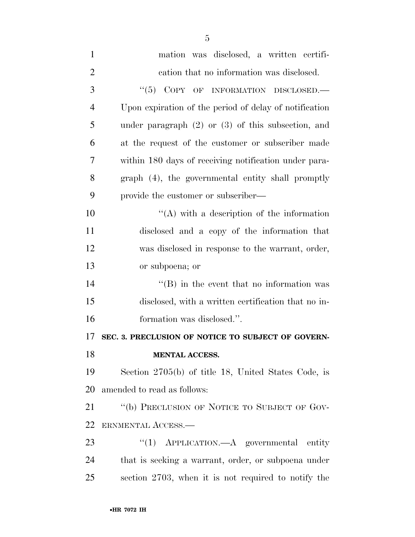| $\mathbf{1}$   | mation was disclosed, a written certifi-               |
|----------------|--------------------------------------------------------|
| $\overline{2}$ | cation that no information was disclosed.              |
| 3              | "(5) COPY OF INFORMATION DISCLOSED.                    |
| $\overline{4}$ | Upon expiration of the period of delay of notification |
| 5              | under paragraph $(2)$ or $(3)$ of this subsection, and |
| 6              | at the request of the customer or subscriber made      |
| 7              | within 180 days of receiving notification under para-  |
| 8              | graph (4), the governmental entity shall promptly      |
| 9              | provide the customer or subscriber—                    |
| 10             | $\lq\lq$ with a description of the information         |
| 11             | disclosed and a copy of the information that           |
| 12             | was disclosed in response to the warrant, order,       |
| 13             | or subpoena; or                                        |
| 14             | $\lq\lq$ (B) in the event that no information was      |
| 15             | disclosed, with a written certification that no in-    |
| 16             | formation was disclosed.".                             |
| 17             | SEC. 3. PRECLUSION OF NOTICE TO SUBJECT OF GOVERN-     |
| 18             | <b>MENTAL ACCESS.</b>                                  |
| 19             | Section 2705(b) of title 18, United States Code, is    |
| 20             | amended to read as follows:                            |
| 21             | "(b) PRECLUSION OF NOTICE TO SUBJECT OF GOV-           |
| 22             | ERNMENTAL ACCESS.-                                     |
| 23             | "(1) $APPLICATION. -A$ governmental entity             |
| 24             | that is seeking a warrant, order, or subpoena under    |
| 25             | section 2703, when it is not required to notify the    |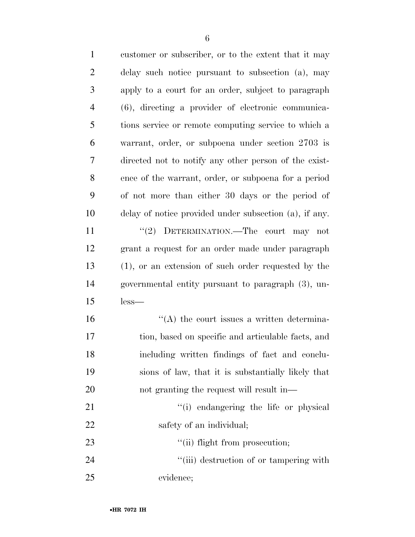| $\mathbf{1}$   | customer or subscriber, or to the extent that it may   |
|----------------|--------------------------------------------------------|
| $\overline{2}$ | delay such notice pursuant to subsection (a), may      |
| 3              | apply to a court for an order, subject to paragraph    |
| $\overline{4}$ | $(6)$ , directing a provider of electronic communica-  |
| 5              | tions service or remote computing service to which a   |
| 6              | warrant, order, or subpoena under section 2703 is      |
| 7              | directed not to notify any other person of the exist-  |
| 8              | ence of the warrant, order, or subpoena for a period   |
| 9              | of not more than either 30 days or the period of       |
| 10             | delay of notice provided under subsection (a), if any. |
| 11             | "(2) DETERMINATION.—The court may not                  |
| 12             | grant a request for an order made under paragraph      |
| 13             | $(1)$ , or an extension of such order requested by the |
| 14             | governmental entity pursuant to paragraph (3), un-     |
| 15             | $less-$                                                |
| 16             | $\lq\lq$ the court issues a written determina-         |
| 17             | tion, based on specific and articulable facts, and     |
| 18             | including written findings of fact and conclu-         |
| 19             | sions of law, that it is substantially likely that     |
| 20             | not granting the request will result in—               |
| 21             | "(i) endangering the life or physical                  |
| 22             | safety of an individual;                               |
| 23             | "(ii) flight from prosecution;                         |
| 24             | "(iii) destruction of or tampering with                |
| 25             | evidence;                                              |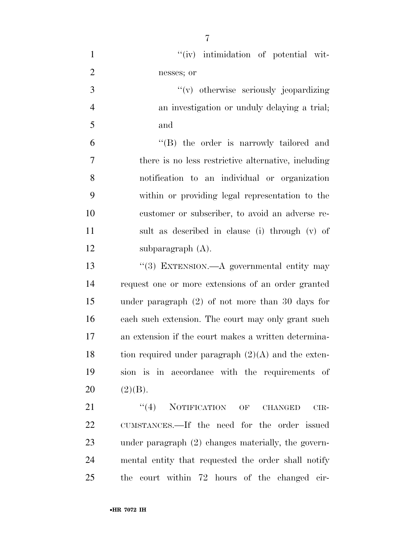| $\mathbf{1}$   | "(iv) intimidation of potential wit-                  |
|----------------|-------------------------------------------------------|
| $\overline{2}$ | nesses; or                                            |
| 3              | "(v) otherwise seriously jeopardizing                 |
| $\overline{4}$ | an investigation or unduly delaying a trial;          |
| $\mathfrak{S}$ | and                                                   |
| 6              | "(B) the order is narrowly tailored and               |
| $\overline{7}$ | there is no less restrictive alternative, including   |
| 8              | notification to an individual or organization         |
| 9              | within or providing legal representation to the       |
| 10             | customer or subscriber, to avoid an adverse re-       |
| 11             | sult as described in clause (i) through (v) of        |
| 12             | subparagraph $(A)$ .                                  |
| 13             | "(3) EXTENSION.—A governmental entity may             |
| 14             | request one or more extensions of an order granted    |
| 15             | under paragraph $(2)$ of not more than 30 days for    |
| 16             | each such extension. The court may only grant such    |
| 17             | an extension if the court makes a written determina-  |
| 18             | tion required under paragraph $(2)(A)$ and the exten- |
| 19             | sion is in accordance with the requirements of        |
| 20             | (2)(B).                                               |
| 21             | "(4) NOTIFICATION OF<br><b>CHANGED</b><br>$CIR-$      |
| 22             | CUMSTANCES.—If the need for the order issued          |
| 23             | under paragraph (2) changes materially, the govern-   |
| 24             | mental entity that requested the order shall notify   |
| 25             | court within 72 hours of the changed cir-<br>the      |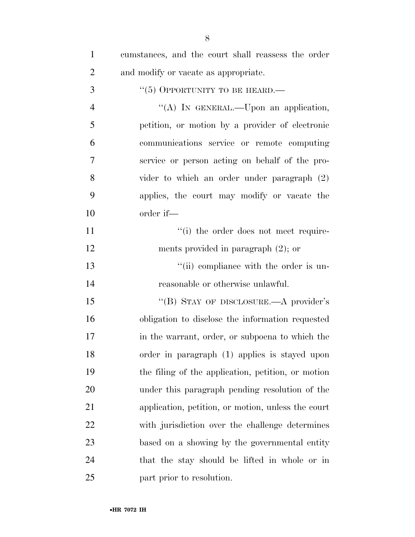| $\mathbf{1}$   | cumstances, and the court shall reassess the order |
|----------------|----------------------------------------------------|
| $\overline{2}$ | and modify or vacate as appropriate.               |
| 3              | "(5) OPPORTUNITY TO BE HEARD.—                     |
| $\overline{4}$ | "(A) IN GENERAL.—Upon an application,              |
| 5              | petition, or motion by a provider of electronic    |
| 6              | communications service or remote computing         |
| 7              | service or person acting on behalf of the pro-     |
| 8              | vider to which an order under paragraph $(2)$      |
| 9              | applies, the court may modify or vacate the        |
| 10             | order if-                                          |
| 11             | "(i) the order does not meet require-              |
| 12             | ments provided in paragraph $(2)$ ; or             |
| 13             | "(ii) compliance with the order is un-             |
| 14             | reasonable or otherwise unlawful.                  |
| 15             | "(B) STAY OF DISCLOSURE.—A provider's              |
| 16             | obligation to disclose the information requested   |
| 17             | in the warrant, order, or subpoena to which the    |
| 18             | order in paragraph (1) applies is stayed upon      |
| 19             | the filing of the application, petition, or motion |
| 20             | under this paragraph pending resolution of the     |
| 21             | application, petition, or motion, unless the court |
| 22             | with jurisdiction over the challenge determines    |
| 23             | based on a showing by the governmental entity      |
| 24             | that the stay should be lifted in whole or in      |
| 25             | part prior to resolution.                          |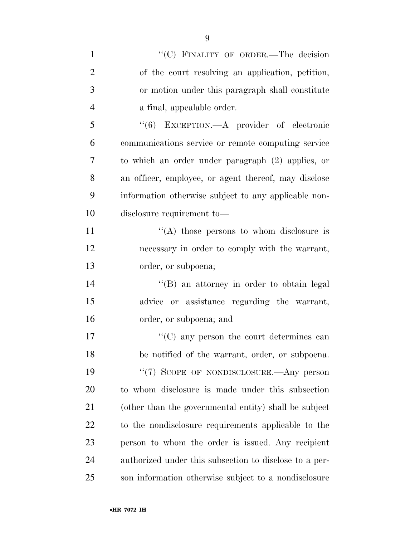| $\mathbf{1}$   | "(C) FINALITY OF ORDER.—The decision                   |
|----------------|--------------------------------------------------------|
| $\overline{2}$ | of the court resolving an application, petition,       |
| 3              | or motion under this paragraph shall constitute        |
| $\overline{4}$ | a final, appealable order.                             |
| 5              | "(6) EXCEPTION.—A provider of electronic               |
| 6              | communications service or remote computing service     |
| 7              | to which an order under paragraph (2) applies, or      |
| 8              | an officer, employee, or agent thereof, may disclose   |
| 9              | information otherwise subject to any applicable non-   |
| 10             | disclosure requirement to-                             |
| 11             | "(A) those persons to whom disclosure is               |
| 12             | necessary in order to comply with the warrant,         |
| 13             | order, or subpoena;                                    |
| 14             | "(B) an attorney in order to obtain legal              |
| 15             | advice or assistance regarding the warrant,            |
| 16             | order, or subpoena; and                                |
| 17             | $\lq\lq$ (C) any person the court determines can       |
| 18             | be notified of the warrant, order, or subpoena.        |
| 19             | "(7) SCOPE OF NONDISCLOSURE.—Any person                |
| <b>20</b>      | to whom disclosure is made under this subsection       |
| 21             | (other than the governmental entity) shall be subject  |
| 22             | to the nondisclosure requirements applicable to the    |
| 23             | person to whom the order is issued. Any recipient      |
| 24             | authorized under this subsection to disclose to a per- |
| 25             | son information otherwise subject to a nondisclosure   |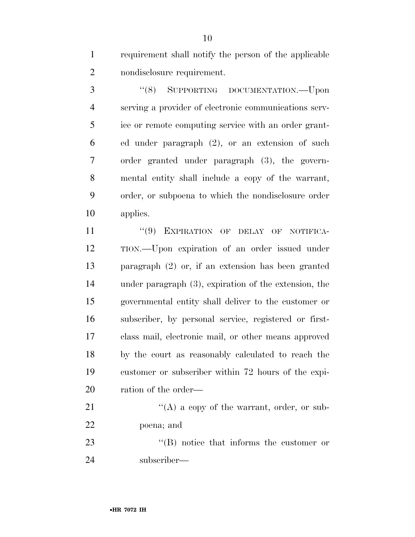requirement shall notify the person of the applicable nondisclosure requirement.

3 "(8) SUPPORTING DOCUMENTATION.—Upon serving a provider of electronic communications serv- ice or remote computing service with an order grant- ed under paragraph (2), or an extension of such order granted under paragraph (3), the govern- mental entity shall include a copy of the warrant, order, or subpoena to which the nondisclosure order applies.

11 "(9) EXPIRATION OF DELAY OF NOTIFICA- TION.—Upon expiration of an order issued under paragraph (2) or, if an extension has been granted under paragraph (3), expiration of the extension, the governmental entity shall deliver to the customer or subscriber, by personal service, registered or first- class mail, electronic mail, or other means approved by the court as reasonably calculated to reach the customer or subscriber within 72 hours of the expi-20 ration of the order—

21 ''(A) a copy of the warrant, order, or sub-poena; and

23 ''(B) notice that informs the customer or subscriber—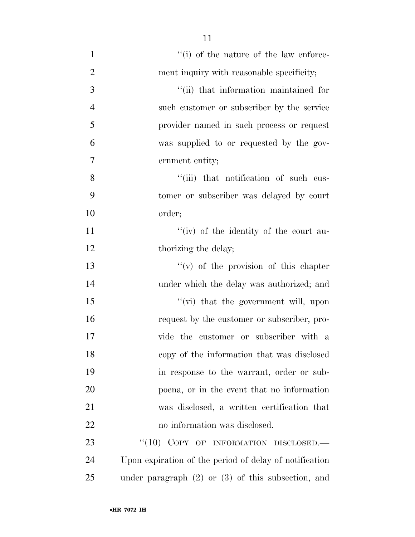1 ''(i) of the nature of the law enforce-2 ment inquiry with reasonable specificity; ''(ii) that information maintained for such customer or subscriber by the service provider named in such process or request was supplied to or requested by the gov- ernment entity; 8 ''(iii) that notification of such cus- tomer or subscriber was delayed by court order; 11 ''(iv) of the identity of the court au-12 thorizing the delay; ''(v) of the provision of this chapter under which the delay was authorized; and  $\frac{1}{\sqrt{v}}$  that the government will, upon request by the customer or subscriber, pro- vide the customer or subscriber with a copy of the information that was disclosed in response to the warrant, order or sub- poena, or in the event that no information was disclosed, a written certification that no information was disclosed. 23 "(10) COPY OF INFORMATION DISCLOSED.

 Upon expiration of the period of delay of notification under paragraph (2) or (3) of this subsection, and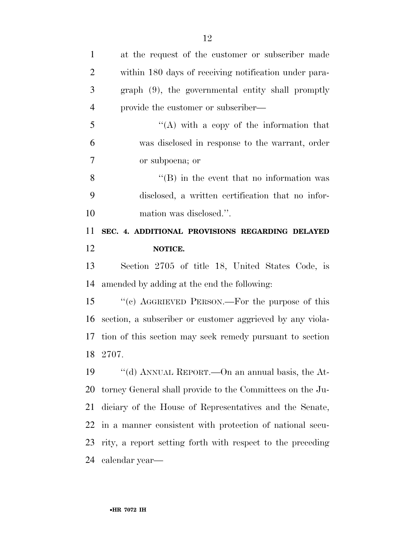| $\mathbf{1}$   | at the request of the customer or subscriber made          |
|----------------|------------------------------------------------------------|
| $\overline{2}$ | within 180 days of receiving notification under para-      |
| 3              | graph (9), the governmental entity shall promptly          |
| $\overline{4}$ | provide the customer or subscriber—                        |
| 5              | "(A) with a copy of the information that                   |
| 6              | was disclosed in response to the warrant, order            |
| 7              | or subpoena; or                                            |
| 8              | $\cdot$ (B) in the event that no information was           |
| 9              | disclosed, a written certification that no infor-          |
| 10             | mation was disclosed.".                                    |
| 11             | SEC. 4. ADDITIONAL PROVISIONS REGARDING DELAYED            |
|                |                                                            |
| 12             | NOTICE.                                                    |
| 13             | Section 2705 of title 18, United States Code, is           |
| 14             | amended by adding at the end the following:                |
| 15             | "(c) AGGRIEVED PERSON.—For the purpose of this             |
| 16             | section, a subscriber or customer aggrieved by any viola-  |
| 17             | tion of this section may seek remedy pursuant to section   |
|                | 18 2707.                                                   |
| 19             | "(d) ANNUAL REPORT.—On an annual basis, the At-            |
| 20             | torney General shall provide to the Committees on the Ju-  |
| 21             | diciary of the House of Representatives and the Senate,    |
| 22             | in a manner consistent with protection of national secu-   |
| 23             | rity, a report setting forth with respect to the preceding |